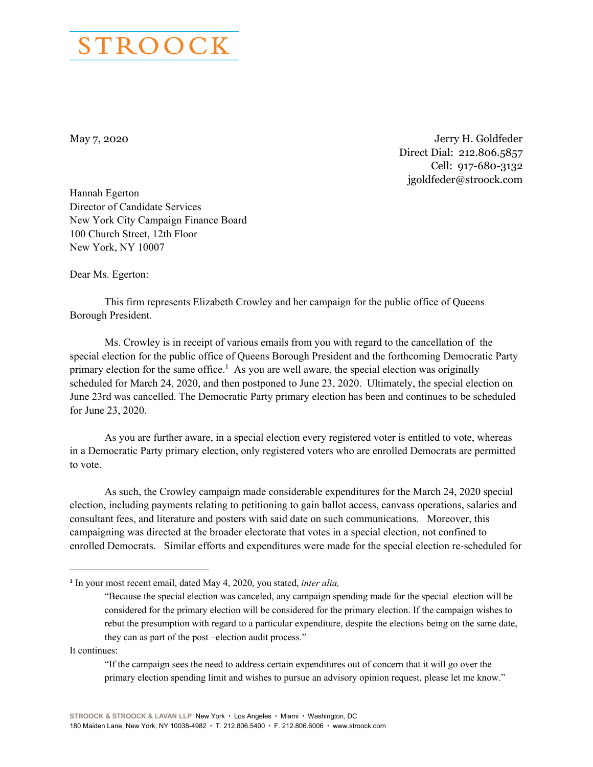

May 7, 2020 Jerry H. Goldfeder Direct Dial: 212.806.5857 Cell: 917-680-3132 jgoldfeder@stroock.com

Hannah Egerton Director of Candidate Services New York City Campaign Finance Board 100 Church Street, 12th Floor New York, NY 10007

Dear Ms. Egerton:

 This firm represents Elizabeth Crowley and her campaign for the public office of Queens Borough President.

 Ms. Crowley is in receipt of various emails from you with regard to the cancellation of the special election for the public office of Queens Borough President and the forthcoming Democratic Party primary election for the same office.<sup>1</sup> As you are well aware, the special election was originally scheduled for March 24, 2020, and then postponed to June 23, 2020. Ultimately, the special election on June 23rd was cancelled. The Democratic Party primary election has been and continues to be scheduled for June 23, 2020.

 As you are further aware, in a special election every registered voter is entitled to vote, whereas in a Democratic Party primary election, only registered voters who are enrolled Democrats are permitted to vote.

 As such, the Crowley campaign made considerable expenditures for the March 24, 2020 special election, including payments relating to petitioning to gain ballot access, canvass operations, salaries and consultant fees, and literature and posters with said date on such communications. Moreover, this campaigning was directed at the broader electorate that votes in a special election, not confined to enrolled Democrats. Similar efforts and expenditures were made for the special election re-scheduled for

It continues:

 $\overline{a}$ 

"If the campaign sees the need to address certain expenditures out of concern that it will go over the primary election spending limit and wishes to pursue an advisory opinion request, please let me know."

<sup>1</sup> In your most recent email, dated May 4, 2020, you stated, *inter alia,*

<sup>&</sup>quot;Because the special election was canceled, any campaign spending made for the special election will be considered for the primary election will be considered for the primary election. If the campaign wishes to rebut the presumption with regard to a particular expenditure, despite the elections being on the same date, they can as part of the post –election audit process."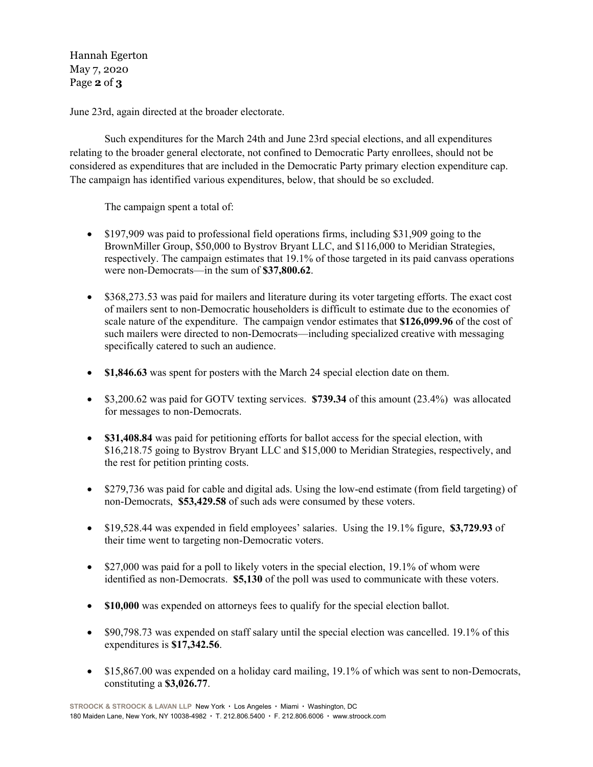Hannah Egerton May 7, 2020 Page **2** of **3**

June 23rd, again directed at the broader electorate.

 Such expenditures for the March 24th and June 23rd special elections, and all expenditures relating to the broader general electorate, not confined to Democratic Party enrollees, should not be considered as expenditures that are included in the Democratic Party primary election expenditure cap. The campaign has identified various expenditures, below, that should be so excluded.

The campaign spent a total of:

- \$197,909 was paid to professional field operations firms, including \$31,909 going to the BrownMiller Group, \$50,000 to Bystrov Bryant LLC, and \$116,000 to Meridian Strategies, respectively. The campaign estimates that 19.1% of those targeted in its paid canvass operations were non-Democrats—in the sum of **\$37,800.62**.
- \$368,273.53 was paid for mailers and literature during its voter targeting efforts. The exact cost of mailers sent to non-Democratic householders is difficult to estimate due to the economies of scale nature of the expenditure. The campaign vendor estimates that **\$126,099.96** of the cost of such mailers were directed to non-Democrats—including specialized creative with messaging specifically catered to such an audience.
- **\$1,846.63** was spent for posters with the March 24 special election date on them.
- \$3,200.62 was paid for GOTV texting services. **\$739.34** of this amount (23.4%) was allocated for messages to non-Democrats.
- **\$31,408.84** was paid for petitioning efforts for ballot access for the special election, with \$16,218.75 going to Bystrov Bryant LLC and \$15,000 to Meridian Strategies, respectively, and the rest for petition printing costs.
- \$279,736 was paid for cable and digital ads. Using the low-end estimate (from field targeting) of non-Democrats, **\$53,429.58** of such ads were consumed by these voters.
- \$19,528.44 was expended in field employees' salaries. Using the 19.1% figure, **\$3,729.93** of their time went to targeting non-Democratic voters.
- $\bullet$  \$27,000 was paid for a poll to likely voters in the special election, 19.1% of whom were identified as non-Democrats. **\$5,130** of the poll was used to communicate with these voters.
- **\$10,000** was expended on attorneys fees to qualify for the special election ballot.
- \$90,798.73 was expended on staff salary until the special election was cancelled. 19.1% of this expenditures is **\$17,342.56**.
- \$15,867.00 was expended on a holiday card mailing, 19.1% of which was sent to non-Democrats, constituting a **\$3,026.77**.